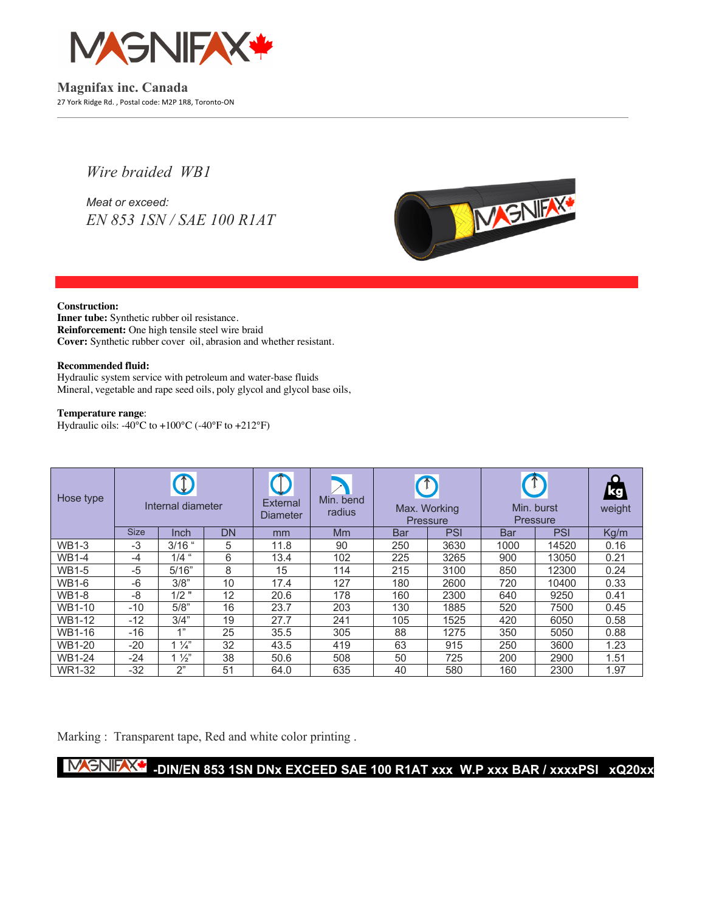

**Magnifax inc. Canada** 27 York Ridge Rd. , Postal code: M2P 1R8, Toronto-ON

# *Wire braided WB1*

*Meat or exceed: EN 853 1SN / SAE 100 R1AT*



### **Construction:**

**Inner tube:** Synthetic rubber oil resistance. **Reinforcement:** One high tensile steel wire braid **Cover:** Synthetic rubber cover oil, abrasion and whether resistant.

### **Recommended fluid:**

Hydraulic system service with petroleum and water-base fluids Mineral, vegetable and rape seed oils, poly glycol and glycol base oils,

### **Temperature range**:

Hydraulic oils: -40°C to +100°C (-40°F to +212°F)

| Hose type     | Internal diameter |                   | Min. bend<br>External<br>radius<br><b>Diameter</b> |      | Max. Working<br><b>Pressure</b> |     | Min. burst<br><b>Pressure</b> |      | kg'<br>weight |      |
|---------------|-------------------|-------------------|----------------------------------------------------|------|---------------------------------|-----|-------------------------------|------|---------------|------|
|               | <b>Size</b>       | <b>DN</b><br>Inch |                                                    | mm   | <b>Mm</b>                       | Bar | <b>PSI</b>                    | Bar  | PSI           | Kg/m |
| <b>WB1-3</b>  | $-3$              | $3/16$ "          | 5                                                  | 11.8 | 90                              | 250 | 3630                          | 1000 | 14520         | 0.16 |
| <b>WB1-4</b>  | -4                | $1/4$ "           | 6                                                  | 13.4 | 102                             | 225 | 3265                          | 900  | 13050         | 0.21 |
| <b>WB1-5</b>  | $-5$              | 5/16"             | 8                                                  | 15   | 114                             | 215 | 3100                          | 850  | 12300         | 0.24 |
| <b>WB1-6</b>  | -6                | 3/8"              | 10                                                 | 17.4 | 127                             | 180 | 2600                          | 720  | 10400         | 0.33 |
| <b>WB1-8</b>  | -8                | $1/2$ "           | 12                                                 | 20.6 | 178                             | 160 | 2300                          | 640  | 9250          | 0.41 |
| WB1-10        | $-10$             | 5/8"              | 16                                                 | 23.7 | 203                             | 130 | 1885                          | 520  | 7500          | 0.45 |
| <b>WB1-12</b> | $-12$             | 3/4"              | 19                                                 | 27.7 | 241                             | 105 | 1525                          | 420  | 6050          | 0.58 |
| WB1-16        | $-16$             | 4"                | 25                                                 | 35.5 | 305                             | 88  | 1275                          | 350  | 5050          | 0.88 |
| WB1-20        | $-20$             | $1\frac{1}{4}$    | 32                                                 | 43.5 | 419                             | 63  | 915                           | 250  | 3600          | 1.23 |
| <b>WB1-24</b> | $-24$             | $1\frac{1}{2}$    | 38                                                 | 50.6 | 508                             | 50  | 725                           | 200  | 2900          | 1.51 |
| <b>WR1-32</b> | $-32$             | 2"                | 51                                                 | 64.0 | 635                             | 40  | 580                           | 160  | 2300          | 1.97 |

Marking : Transparent tape, Red and white color printing .

## **MAGNIFAX+** DIN/EN 853 1SN DNx EXCEED SAE 100 R1AT xxx W.P xxx BAR / xxxxPSI xQ20xx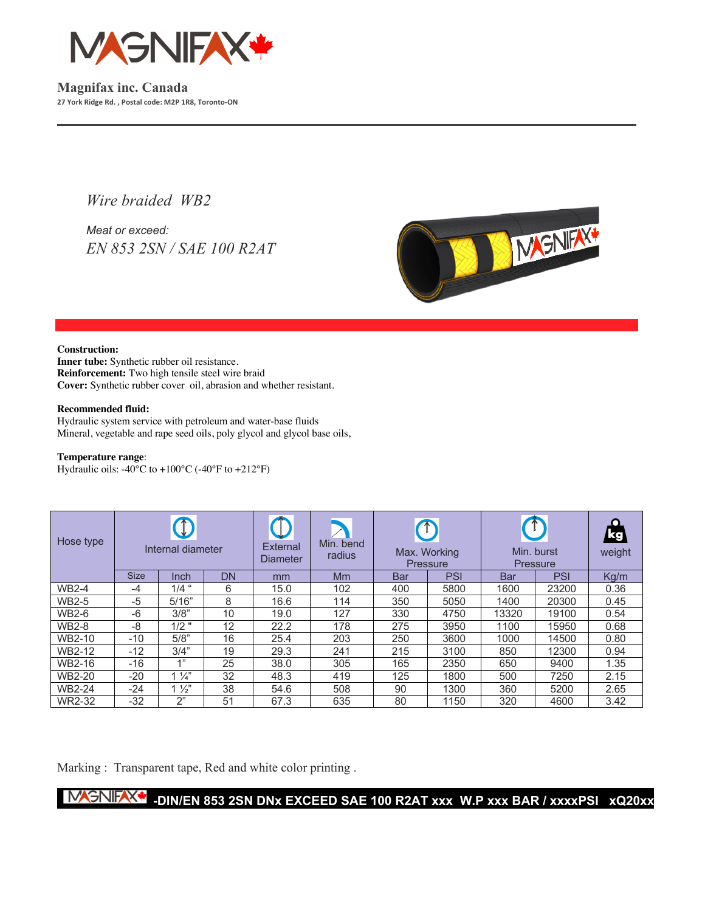

**Magnifax inc. Canada 27 York Ridge Rd. , Postal code: M2P 1R8, Toronto-ON**

## *Wire braided WB2*

*Meat or exceed: EN 853 2SN / SAE 100 R2AT*



#### **Construction:**

**Inner tube:** Synthetic rubber oil resistance. **Reinforcement:** Two high tensile steel wire braid **Cover:** Synthetic rubber cover oil, abrasion and whether resistant.

### **Recommended fluid:**

Hydraulic system service with petroleum and water-base fluids Mineral, vegetable and rape seed oils, poly glycol and glycol base oils,

### **Temperature range**:

Hydraulic oils: -40°C to +100°C (-40°F to +212°F)

| Hose type     | Internal diameter |                | Min. bend<br>External<br>radius<br><b>Diameter</b> |      | Max. Working<br>Pressure |     | Min. burst<br><b>Pressure</b> |            | <u>kg</u><br>weight |      |
|---------------|-------------------|----------------|----------------------------------------------------|------|--------------------------|-----|-------------------------------|------------|---------------------|------|
|               | <b>Size</b>       | Inch           | <b>DN</b>                                          | mm   | Mm                       | Bar | <b>PSI</b>                    | <b>Bar</b> | <b>PSI</b>          | Kg/m |
| <b>WB2-4</b>  | -4                | $1/4$ "        | 6                                                  | 15.0 | 102                      | 400 | 5800                          | 1600       | 23200               | 0.36 |
| <b>WB2-5</b>  | $-5$              | 5/16"          | 8                                                  | 16.6 | 114                      | 350 | 5050                          | 1400       | 20300               | 0.45 |
| <b>WB2-6</b>  | $-6$              | 3/8"           | 10                                                 | 19.0 | 127                      | 330 | 4750                          | 13320      | 19100               | 0.54 |
| <b>WB2-8</b>  | -8                | $1/2$ "        | 12                                                 | 22.2 | 178                      | 275 | 3950                          | 1100       | 15950               | 0.68 |
| WB2-10        | $-10$             | 5/8"           | 16                                                 | 25.4 | 203                      | 250 | 3600                          | 1000       | 14500               | 0.80 |
| WB2-12        | $-12$             | 3/4"           | 19                                                 | 29.3 | 241                      | 215 | 3100                          | 850        | 12300               | 0.94 |
| WB2-16        | $-16$             | 1"             | 25                                                 | 38.0 | 305                      | 165 | 2350                          | 650        | 9400                | 1.35 |
| WB2-20        | $-20$             | $1\frac{1}{4}$ | 32                                                 | 48.3 | 419                      | 125 | 1800                          | 500        | 7250                | 2.15 |
| <b>WB2-24</b> | $-24$             | $1\frac{1}{2}$ | 38                                                 | 54.6 | 508                      | 90  | 1300                          | 360        | 5200                | 2.65 |
| <b>WR2-32</b> | $-32$             | 2"             | 51                                                 | 67.3 | 635                      | 80  | 1150                          | 320        | 4600                | 3.42 |

Marking : Transparent tape, Red and white color printing .

**MASNIFAXX** -DIN/EN 853 2SN DNx EXCEED SAE 100 R2AT xxx W.P xxx BAR / xxxxPSI xQ20xx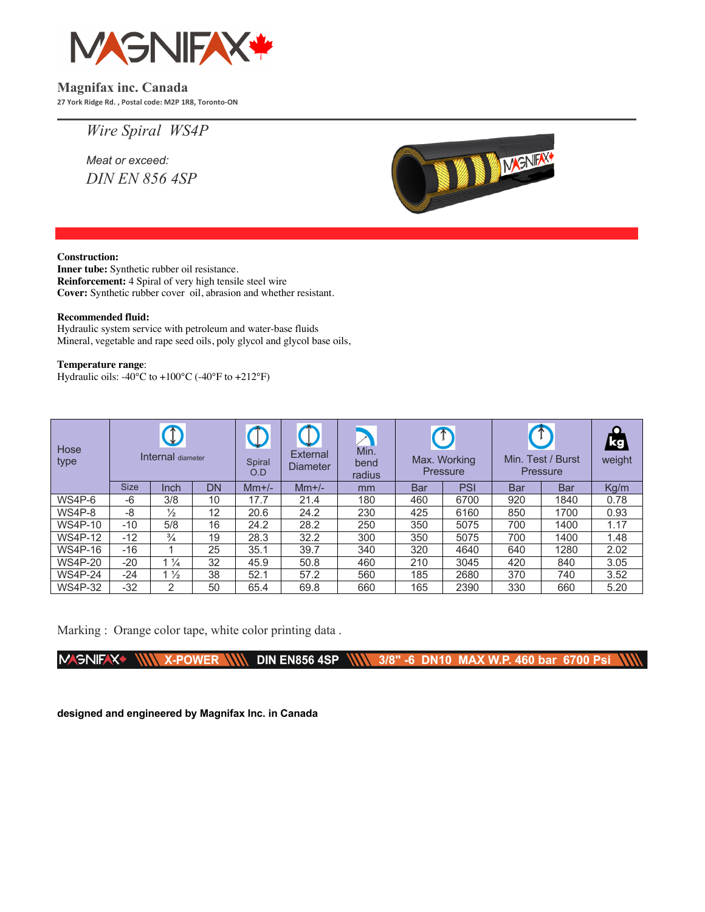

### **Magnifax inc. Canada**

**27 York Ridge Rd. , Postal code: M2P 1R8, Toronto-ON**

*Wire Spiral WS4P*

*Meat or exceed: DIN EN 856 4SP*



### **Construction:**

**Inner tube:** Synthetic rubber oil resistance. **Reinforcement:** 4 Spiral of very high tensile steel wire **Cover:** Synthetic rubber cover oil, abrasion and whether resistant.

#### **Recommended fluid:**

Hydraulic system service with petroleum and water-base fluids Mineral, vegetable and rape seed oils, poly glycol and glycol base oils,

#### **Temperature range**:

Hydraulic oils: -40 $^{\circ}$ C to +100 $^{\circ}$ C (-40 $^{\circ}$ F to +212 $^{\circ}$ F)

| Hose<br>type   | Internal diameter |                |    | <b>Spiral</b><br>O.D | External<br><b>Diameter</b> | Min.<br>bend<br>radius |            | Max. Working<br>Pressure |            | Min. Test / Burst<br><b>Pressure</b> | kg l<br>weight |
|----------------|-------------------|----------------|----|----------------------|-----------------------------|------------------------|------------|--------------------------|------------|--------------------------------------|----------------|
|                | <b>Size</b>       | Inch           | DN | $Mm+/-$              | $Mm+/-$                     | mm                     | <b>Bar</b> | <b>PSI</b>               | <b>Bar</b> | <b>Bar</b>                           | Kg/m           |
| WS4P-6         | -6                | 3/8            | 10 | 17.7                 | 21.4                        | 180                    | 460        | 6700                     | 920        | 1840                                 | 0.78           |
| $WS4P-8$       | -8                | $\frac{1}{2}$  | 12 | 20.6                 | 24.2                        | 230                    | 425        | 6160                     | 850        | 1700                                 | 0.93           |
| <b>WS4P-10</b> | $-10$             | 5/8            | 16 | 24.2                 | 28.2                        | 250                    | 350        | 5075                     | 700        | 1400                                 | 1.17           |
| <b>WS4P-12</b> | $-12$             | $\frac{3}{4}$  | 19 | 28.3                 | 32.2                        | 300                    | 350        | 5075                     | 700        | 1400                                 | 1.48           |
| <b>WS4P-16</b> | $-16$             |                | 25 | 35.1                 | 39.7                        | 340                    | 320        | 4640                     | 640        | 1280                                 | 2.02           |
| <b>WS4P-20</b> | $-20$             | $1\frac{1}{4}$ | 32 | 45.9                 | 50.8                        | 460                    | 210        | 3045                     | 420        | 840                                  | 3.05           |
| <b>WS4P-24</b> | $-24$             | $1\frac{1}{2}$ | 38 | 52.1                 | 57.2                        | 560                    | 185        | 2680                     | 370        | 740                                  | 3.52           |
| <b>WS4P-32</b> | $-32$             | $\mathcal{P}$  | 50 | 65.4                 | 69.8                        | 660                    | 165        | 2390                     | 330        | 660                                  | 5.20           |

Marking : Orange color tape, white color printing data.

MASNIFAX<sup>+</sup> **DIN EN856 4SP** 3/8" -6 DN10 MAX W.P. 460 bar 6700 Psi **X-POWER** 

**designed and engineered by Magnifax Inc. in Canada**